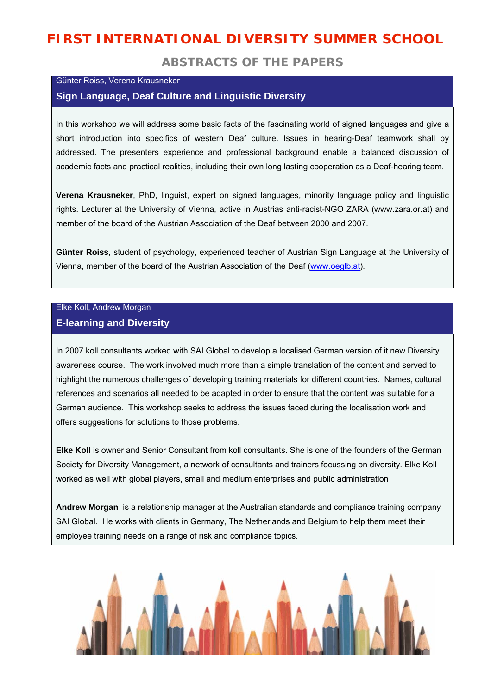# **FIRST INTERNATIONAL DIVERSITY SUMMER SCHOOL**

## **ABSTRACTS OF THE PAPERS**

#### Günter Roiss, Verena Krausneker

## **Sign Language, Deaf Culture and Linguistic Diversity**

In this workshop we will address some basic facts of the fascinating world of signed languages and give a short introduction into specifics of western Deaf culture. Issues in hearing-Deaf teamwork shall by addressed. The presenters experience and professional background enable a balanced discussion of academic facts and practical realities, including their own long lasting cooperation as a Deaf-hearing team.

**Verena Krausneker**, PhD, linguist, expert on signed languages, minority language policy and linguistic rights. Lecturer at the University of Vienna, active in Austrias anti-racist-NGO ZARA (www.zara.or.at) and member of the board of the Austrian Association of the Deaf between 2000 and 2007.

**Günter Roiss**, student of psychology, experienced teacher of Austrian Sign Language at the University of Vienna, member of the board of the Austrian Association of the Deaf (www.oeglb.at).

## Elke Koll, Andrew Morgan **E-learning and Diversity**

In 2007 koll consultants worked with SAI Global to develop a localised German version of it new Diversity awareness course. The work involved much more than a simple translation of the content and served to highlight the numerous challenges of developing training materials for different countries. Names, cultural references and scenarios all needed to be adapted in order to ensure that the content was suitable for a German audience. This workshop seeks to address the issues faced during the localisation work and offers suggestions for solutions to those problems.

**Elke Koll** is owner and Senior Consultant from koll consultants. She is one of the founders of the German Society for Diversity Management, a network of consultants and trainers focussing on diversity. Elke Koll worked as well with global players, small and medium enterprises and public administration

**Andrew Morgan** is a relationship manager at the Australian standards and compliance training company SAI Global. He works with clients in Germany, The Netherlands and Belgium to help them meet their employee training needs on a range of risk and compliance topics.

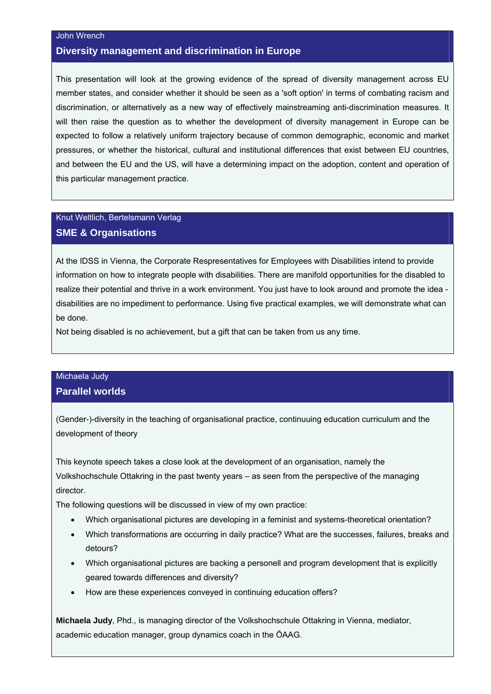#### John Wrench

## **Diversity management and discrimination in Europe**

This presentation will look at the growing evidence of the spread of diversity management across EU member states, and consider whether it should be seen as a 'soft option' in terms of combating racism and discrimination, or alternatively as a new way of effectively mainstreaming anti-discrimination measures. It will then raise the question as to whether the development of diversity management in Europe can be expected to follow a relatively uniform trajectory because of common demographic, economic and market pressures, or whether the historical, cultural and institutional differences that exist between EU countries, and between the EU and the US, will have a determining impact on the adoption, content and operation of this particular management practice.

## Knut Weltlich, Bertelsmann Verlag **SME & Organisations**

At the IDSS in Vienna, the Corporate Respresentatives for Employees with Disabilities intend to provide information on how to integrate people with disabilities. There are manifold opportunities for the disabled to realize their potential and thrive in a work environment. You just have to look around and promote the idea disabilities are no impediment to performance. Using five practical examples, we will demonstrate what can be done.

Not being disabled is no achievement, but a gift that can be taken from us any time.

# Michaela Judy

## **Parallel worlds**

(Gender-)-diversity in the teaching of organisational practice, continuuing education curriculum and the development of theory

This keynote speech takes a close look at the development of an organisation, namely the Volkshochschule Ottakring in the past twenty years – as seen from the perspective of the managing director.

The following questions will be discussed in view of my own practice:

- Which organisational pictures are developing in a feminist and systems-theoretical orientation?
- Which transformations are occurring in daily practice? What are the successes, failures, breaks and detours?
- Which organisational pictures are backing a personell and program development that is explicitly geared towards differences and diversity?
- How are these experiences conveyed in continuing education offers?

**Michaela Judy**, Phd., is managing director of the Volkshochschule Ottakring in Vienna, mediator, academic education manager, group dynamics coach in the ÖAAG.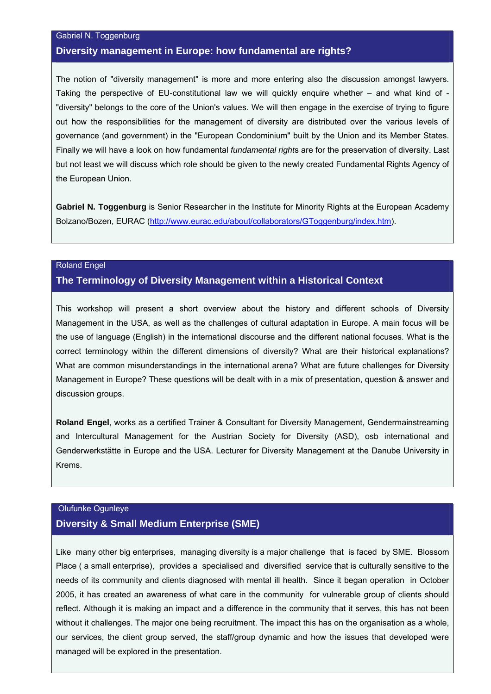#### Gabriel N. Toggenburg

#### **Diversity management in Europe: how fundamental are rights?**

The notion of "diversity management" is more and more entering also the discussion amongst lawyers. Taking the perspective of EU-constitutional law we will quickly enquire whether – and what kind of - "diversity" belongs to the core of the Union's values. We will then engage in the exercise of trying to figure out how the responsibilities for the management of diversity are distributed over the various levels of governance (and government) in the "European Condominium" built by the Union and its Member States. Finally we will have a look on how fundamental *fundamental right*s are for the preservation of diversity. Last but not least we will discuss which role should be given to the newly created Fundamental Rights Agency of the European Union.

**Gabriel N. Toggenburg** is Senior Researcher in the Institute for Minority Rights at the European Academy Bolzano/Bozen, EURAC (http://www.eurac.edu/about/collaborators/GToggenburg/index.htm).

#### Roland Engel

#### **The Terminology of Diversity Management within a Historical Context**

This workshop will present a short overview about the history and different schools of Diversity Management in the USA, as well as the challenges of cultural adaptation in Europe. A main focus will be the use of language (English) in the international discourse and the different national focuses. What is the correct terminology within the different dimensions of diversity? What are their historical explanations? What are common misunderstandings in the international arena? What are future challenges for Diversity Management in Europe? These questions will be dealt with in a mix of presentation, question & answer and discussion groups.

**Roland Engel**, works as a certified Trainer & Consultant for Diversity Management, Gendermainstreaming and Intercultural Management for the Austrian Society for Diversity (ASD), osb international and Genderwerkstätte in Europe and the USA. Lecturer for Diversity Management at the Danube University in Krems.

## Olufunke Ogunleye **Diversity & Small Medium Enterprise (SME)**

Like many other big enterprises, managing diversity is a major challenge that is faced by SME. Blossom Place ( a small enterprise), provides a specialised and diversified service that is culturally sensitive to the needs of its community and clients diagnosed with mental ill health. Since it began operation in October 2005, it has created an awareness of what care in the community for vulnerable group of clients should reflect. Although it is making an impact and a difference in the community that it serves, this has not been without it challenges. The major one being recruitment. The impact this has on the organisation as a whole, our services, the client group served, the staff/group dynamic and how the issues that developed were managed will be explored in the presentation.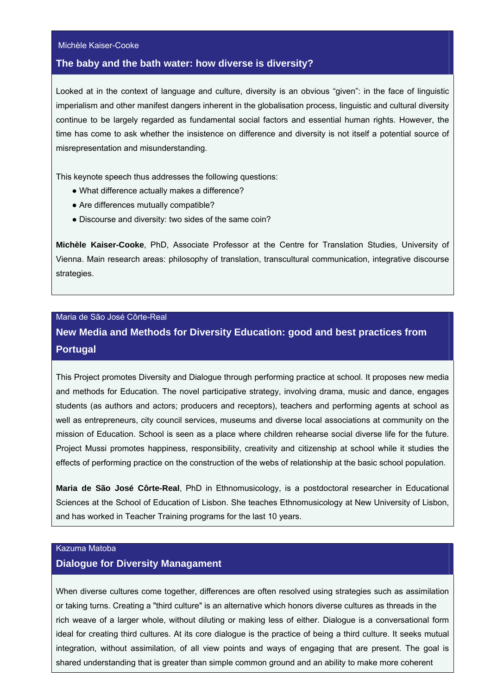#### Michèle Kaiser-Cooke

#### **The baby and the bath water: how diverse is diversity?**

Looked at in the context of language and culture, diversity is an obvious "given": in the face of linguistic imperialism and other manifest dangers inherent in the globalisation process, linguistic and cultural diversity continue to be largely regarded as fundamental social factors and essential human rights. However, the time has come to ask whether the insistence on difference and diversity is not itself a potential source of misrepresentation and misunderstanding.

This keynote speech thus addresses the following questions:

- What difference actually makes a difference?
- Are differences mutually compatible?
- Discourse and diversity: two sides of the same coin?

**Michèle Kaiser-Cooke**, PhD, Associate Professor at the Centre for Translation Studies, University of Vienna. Main research areas: philosophy of translation, transcultural communication, integrative discourse strategies.

#### Maria de São José Côrte-Real

# **New Media and Methods for Diversity Education: good and best practices from Portugal**

This Project promotes Diversity and Dialogue through performing practice at school. It proposes new media and methods for Education. The novel participative strategy, involving drama, music and dance, engages students (as authors and actors; producers and receptors), teachers and performing agents at school as well as entrepreneurs, city council services, museums and diverse local associations at community on the mission of Education. School is seen as a place where children rehearse social diverse life for the future. Project Mussi promotes happiness, responsibility, creativity and citizenship at school while it studies the effects of performing practice on the construction of the webs of relationship at the basic school population.

**Maria de São José Côrte-Real**, PhD in Ethnomusicology, is a postdoctoral researcher in Educational Sciences at the School of Education of Lisbon. She teaches Ethnomusicology at New University of Lisbon, and has worked in Teacher Training programs for the last 10 years.

### Kazuma Matoba

#### **Dialogue for Diversity Managament**

When diverse cultures come together, differences are often resolved using strategies such as assimilation or taking turns. Creating a "third culture" is an alternative which honors diverse cultures as threads in the rich weave of a larger whole, without diluting or making less of either. Dialogue is a conversational form ideal for creating third cultures. At its core dialogue is the practice of being a third culture. It seeks mutual integration, without assimilation, of all view points and ways of engaging that are present. The goal is shared understanding that is greater than simple common ground and an ability to make more coherent